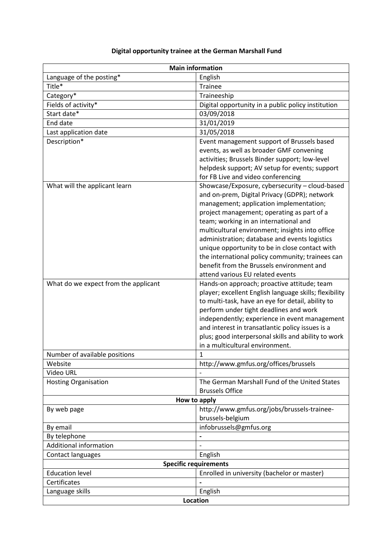|  |  | Digital opportunity trainee at the German Marshall Fund |
|--|--|---------------------------------------------------------|

| <b>Main information</b>              |                                                                                                                                                                                                                                                                                                                                                                                                                                                                                                                             |  |  |  |
|--------------------------------------|-----------------------------------------------------------------------------------------------------------------------------------------------------------------------------------------------------------------------------------------------------------------------------------------------------------------------------------------------------------------------------------------------------------------------------------------------------------------------------------------------------------------------------|--|--|--|
| Language of the posting*             | English                                                                                                                                                                                                                                                                                                                                                                                                                                                                                                                     |  |  |  |
| Title*                               | <b>Trainee</b>                                                                                                                                                                                                                                                                                                                                                                                                                                                                                                              |  |  |  |
| Category*                            | Traineeship                                                                                                                                                                                                                                                                                                                                                                                                                                                                                                                 |  |  |  |
| Fields of activity*                  | Digital opportunity in a public policy institution                                                                                                                                                                                                                                                                                                                                                                                                                                                                          |  |  |  |
| Start date*                          | 03/09/2018                                                                                                                                                                                                                                                                                                                                                                                                                                                                                                                  |  |  |  |
| End date                             | 31/01/2019                                                                                                                                                                                                                                                                                                                                                                                                                                                                                                                  |  |  |  |
| Last application date                | 31/05/2018                                                                                                                                                                                                                                                                                                                                                                                                                                                                                                                  |  |  |  |
| Description*                         | Event management support of Brussels based<br>events, as well as broader GMF convening<br>activities; Brussels Binder support; low-level<br>helpdesk support; AV setup for events; support<br>for FB Live and video conferencing                                                                                                                                                                                                                                                                                            |  |  |  |
| What will the applicant learn        | Showcase/Exposure, cybersecurity - cloud-based<br>and on-prem, Digital Privacy (GDPR); network<br>management; application implementation;<br>project management; operating as part of a<br>team; working in an international and<br>multicultural environment; insights into office<br>administration; database and events logistics<br>unique opportunity to be in close contact with<br>the international policy community; trainees can<br>benefit from the Brussels environment and<br>attend various EU related events |  |  |  |
| What do we expect from the applicant | Hands-on approach; proactive attitude; team<br>player; excellent English language skills; flexibility<br>to multi-task, have an eye for detail, ability to<br>perform under tight deadlines and work<br>independently; experience in event management<br>and interest in transatlantic policy issues is a<br>plus; good interpersonal skills and ability to work<br>in a multicultural environment.                                                                                                                         |  |  |  |
| Number of available positions        | 1                                                                                                                                                                                                                                                                                                                                                                                                                                                                                                                           |  |  |  |
| Website                              | http://www.gmfus.org/offices/brussels                                                                                                                                                                                                                                                                                                                                                                                                                                                                                       |  |  |  |
| Video URL                            |                                                                                                                                                                                                                                                                                                                                                                                                                                                                                                                             |  |  |  |
| <b>Hosting Organisation</b>          | The German Marshall Fund of the United States<br><b>Brussels Office</b>                                                                                                                                                                                                                                                                                                                                                                                                                                                     |  |  |  |
| How to apply                         |                                                                                                                                                                                                                                                                                                                                                                                                                                                                                                                             |  |  |  |
| By web page                          | http://www.gmfus.org/jobs/brussels-trainee-<br>brussels-belgium                                                                                                                                                                                                                                                                                                                                                                                                                                                             |  |  |  |
| By email                             | infobrussels@gmfus.org                                                                                                                                                                                                                                                                                                                                                                                                                                                                                                      |  |  |  |
| By telephone                         | -                                                                                                                                                                                                                                                                                                                                                                                                                                                                                                                           |  |  |  |
| Additional information               | $\overline{a}$                                                                                                                                                                                                                                                                                                                                                                                                                                                                                                              |  |  |  |
| Contact languages                    | English                                                                                                                                                                                                                                                                                                                                                                                                                                                                                                                     |  |  |  |
| <b>Specific requirements</b>         |                                                                                                                                                                                                                                                                                                                                                                                                                                                                                                                             |  |  |  |
| <b>Education level</b>               | Enrolled in university (bachelor or master)                                                                                                                                                                                                                                                                                                                                                                                                                                                                                 |  |  |  |
| Certificates                         |                                                                                                                                                                                                                                                                                                                                                                                                                                                                                                                             |  |  |  |
| Language skills                      | English                                                                                                                                                                                                                                                                                                                                                                                                                                                                                                                     |  |  |  |
| Location                             |                                                                                                                                                                                                                                                                                                                                                                                                                                                                                                                             |  |  |  |